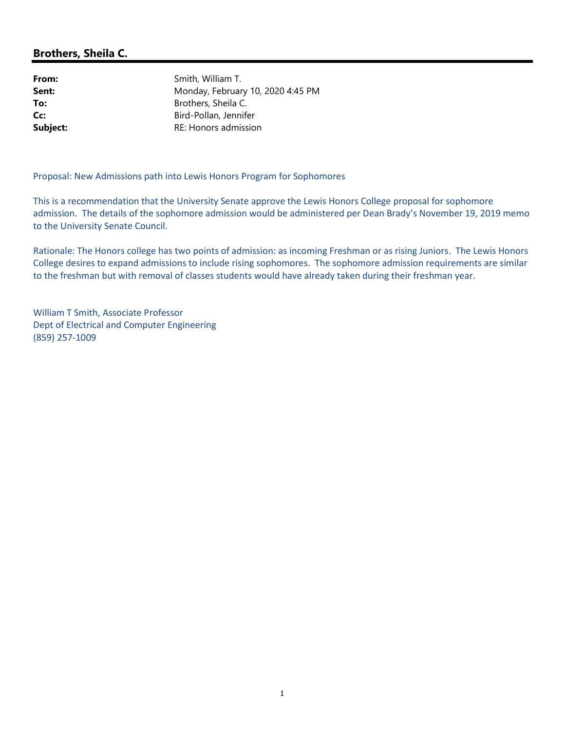## Brothers, Sheila C.

From: Smith, William T. **Sent:** Monday, February 10, 2020 4:45 PM To: Brothers, Sheila C. Cc: Bird-Pollan, Jennifer Subject: RE: Honors admission

Proposal: New Admissions path into Lewis Honors Program for Sophomores

This is a recommendation that the University Senate approve the Lewis Honors College proposal for sophomore admission. The details of the sophomore admission would be administered per Dean Brady's November 19, 2019 memo to the University Senate Council.

Rationale: The Honors college has two points of admission: as incoming Freshman or as rising Juniors. The Lewis Honors College desires to expand admissions to include rising sophomores. The sophomore admission requirements are similar to the freshman but with removal of classes students would have already taken during their freshman year.

William T Smith, Associate Professor Dept of Electrical and Computer Engineering (859) 257-1009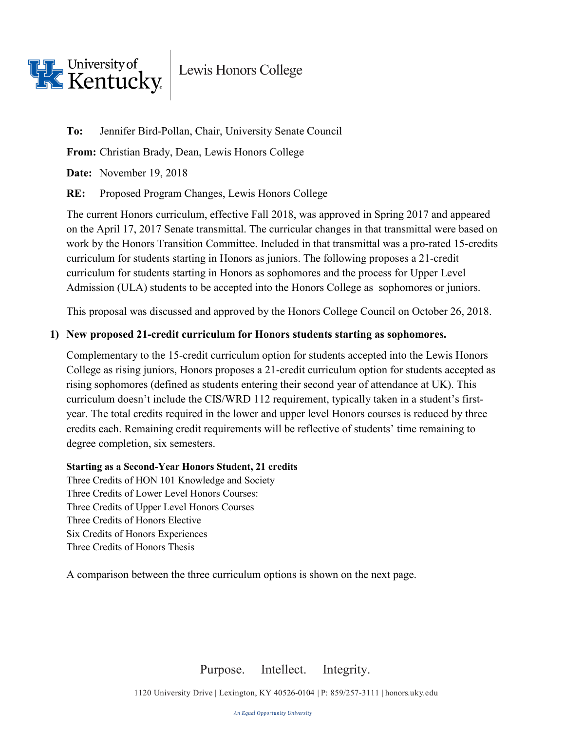

Lewis Honors College

**To:** Jennifer Bird-Pollan, Chair, University Senate Council

**From:** Christian Brady, Dean, Lewis Honors College

**Date:** November 19, 2018

**RE:** Proposed Program Changes, Lewis Honors College

The current Honors curriculum, effective Fall 2018, was approved in Spring 2017 and appeared on the April 17, 2017 Senate transmittal. The curricular changes in that transmittal were based on work by the Honors Transition Committee. Included in that transmittal was a pro-rated 15-credits curriculum for students starting in Honors as juniors. The following proposes a 21-credit curriculum for students starting in Honors as sophomores and the process for Upper Level Admission (ULA) students to be accepted into the Honors College as sophomores or juniors.

This proposal was discussed and approved by the Honors College Council on October 26, 2018.

### **1) New proposed 21-credit curriculum for Honors students starting as sophomores.**

Complementary to the 15-credit curriculum option for students accepted into the Lewis Honors College as rising juniors, Honors proposes a 21-credit curriculum option for students accepted as rising sophomores (defined as students entering their second year of attendance at UK). This curriculum doesn't include the CIS/WRD 112 requirement, typically taken in a student's firstyear. The total credits required in the lower and upper level Honors courses is reduced by three credits each. Remaining credit requirements will be reflective of students' time remaining to degree completion, six semesters.

#### **Starting as a Second-Year Honors Student, 21 credits**

Three Credits of HON 101 Knowledge and Society Three Credits of Lower Level Honors Courses: Three Credits of Upper Level Honors Courses Three Credits of Honors Elective Six Credits of Honors Experiences Three Credits of Honors Thesis

A comparison between the three curriculum options is shown on the next page.

Purpose. Intellect. Integrity.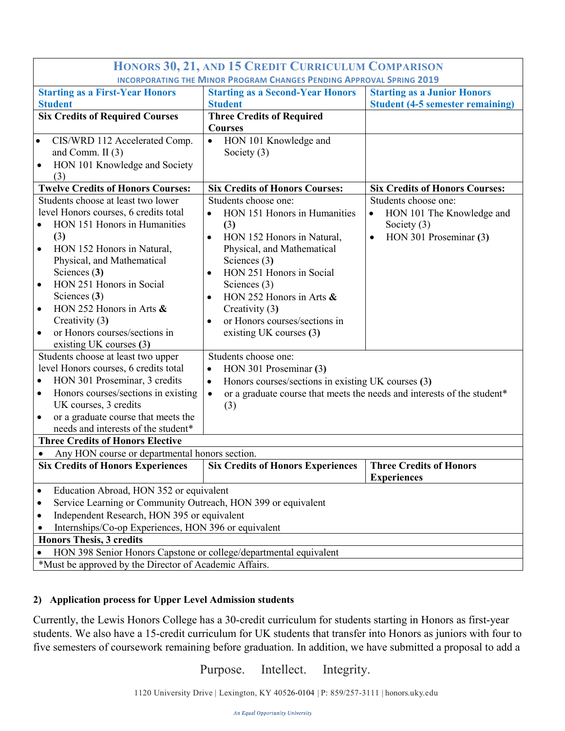| HONORS 30, 21, AND 15 CREDIT CURRICULUM COMPARISON                          |                                                                   |                                                                                      |                                         |
|-----------------------------------------------------------------------------|-------------------------------------------------------------------|--------------------------------------------------------------------------------------|-----------------------------------------|
| <b>INCORPORATING THE MINOR PROGRAM CHANGES PENDING APPROVAL SPRING 2019</b> |                                                                   |                                                                                      |                                         |
| <b>Starting as a First-Year Honors</b>                                      |                                                                   | <b>Starting as a Second-Year Honors</b>                                              | <b>Starting as a Junior Honors</b>      |
| <b>Student</b>                                                              |                                                                   | <b>Student</b>                                                                       | <b>Student (4-5 semester remaining)</b> |
| <b>Six Credits of Required Courses</b>                                      |                                                                   | <b>Three Credits of Required</b>                                                     |                                         |
|                                                                             |                                                                   | <b>Courses</b>                                                                       |                                         |
| $\bullet$                                                                   | CIS/WRD 112 Accelerated Comp.                                     | HON 101 Knowledge and<br>$\bullet$                                                   |                                         |
|                                                                             | and Comm. II $(3)$                                                | Society $(3)$                                                                        |                                         |
| ٠                                                                           | HON 101 Knowledge and Society                                     |                                                                                      |                                         |
|                                                                             | (3)                                                               |                                                                                      |                                         |
|                                                                             | <b>Twelve Credits of Honors Courses:</b>                          | <b>Six Credits of Honors Courses:</b>                                                | <b>Six Credits of Honors Courses:</b>   |
|                                                                             | Students choose at least two lower                                | Students choose one:                                                                 | Students choose one:                    |
|                                                                             | level Honors courses, 6 credits total                             | HON 151 Honors in Humanities<br>$\bullet$                                            | HON 101 The Knowledge and<br>$\bullet$  |
|                                                                             | HON 151 Honors in Humanities                                      | (3)                                                                                  | Society $(3)$                           |
|                                                                             | (3)                                                               | HON 152 Honors in Natural,<br>$\bullet$                                              | HON 301 Proseminar (3)<br>$\bullet$     |
|                                                                             | HON 152 Honors in Natural,                                        | Physical, and Mathematical                                                           |                                         |
|                                                                             | Physical, and Mathematical<br>Sciences (3)                        | Sciences $(3)$<br>HON 251 Honors in Social                                           |                                         |
| $\bullet$                                                                   | HON 251 Honors in Social                                          | $\bullet$                                                                            |                                         |
|                                                                             | Sciences $(3)$                                                    | Sciences $(3)$<br>$\bullet$                                                          |                                         |
|                                                                             | HON 252 Honors in Arts $\&$                                       | HON 252 Honors in Arts $\&$<br>Creativity (3)                                        |                                         |
|                                                                             | Creativity (3)                                                    | or Honors courses/sections in<br>$\bullet$                                           |                                         |
|                                                                             | or Honors courses/sections in                                     | existing UK courses (3)                                                              |                                         |
|                                                                             | existing UK courses (3)                                           |                                                                                      |                                         |
| Students choose at least two upper                                          |                                                                   | Students choose one:                                                                 |                                         |
| level Honors courses, 6 credits total                                       |                                                                   | HON 301 Proseminar (3)<br>$\bullet$                                                  |                                         |
| HON 301 Proseminar, 3 credits                                               |                                                                   | Honors courses/sections in existing UK courses (3)<br>$\bullet$                      |                                         |
| $\bullet$                                                                   | Honors courses/sections in existing                               | or a graduate course that meets the needs and interests of the student*<br>$\bullet$ |                                         |
|                                                                             | UK courses, 3 credits<br>(3)                                      |                                                                                      |                                         |
| $\bullet$                                                                   | or a graduate course that meets the                               |                                                                                      |                                         |
|                                                                             | needs and interests of the student*                               |                                                                                      |                                         |
| <b>Three Credits of Honors Elective</b>                                     |                                                                   |                                                                                      |                                         |
| Any HON course or departmental honors section.                              |                                                                   |                                                                                      |                                         |
|                                                                             | <b>Six Credits of Honors Experiences</b>                          | <b>Six Credits of Honors Experiences</b>                                             | <b>Three Credits of Honors</b>          |
|                                                                             |                                                                   |                                                                                      | <b>Experiences</b>                      |
| $\bullet$                                                                   | Education Abroad, HON 352 or equivalent                           |                                                                                      |                                         |
| Service Learning or Community Outreach, HON 399 or equivalent<br>٠          |                                                                   |                                                                                      |                                         |
| Independent Research, HON 395 or equivalent<br>٠                            |                                                                   |                                                                                      |                                         |
| Internships/Co-op Experiences, HON 396 or equivalent                        |                                                                   |                                                                                      |                                         |
| <b>Honors Thesis, 3 credits</b>                                             |                                                                   |                                                                                      |                                         |
| $\bullet$                                                                   | HON 398 Senior Honors Capstone or college/departmental equivalent |                                                                                      |                                         |
| *Must be approved by the Director of Academic Affairs.                      |                                                                   |                                                                                      |                                         |

#### **2) Application process for Upper Level Admission students**

Currently, the Lewis Honors College has a 30-credit curriculum for students starting in Honors as first-year students. We also have a 15-credit curriculum for UK students that transfer into Honors as juniors with four to five semesters of coursework remaining before graduation. In addition, we have submitted a proposal to add a

Purpose. Intellect. Integrity.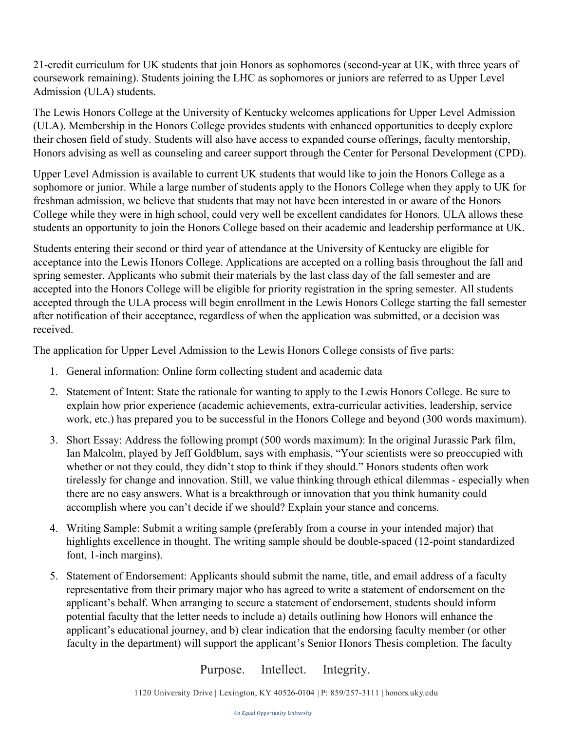21-credit curriculum for UK students that join Honors as sophomores (second-year at UK, with three years of coursework remaining). Students joining the LHC as sophomores or juniors are referred to as Upper Level Admission (ULA) students.

The Lewis Honors College at the University of Kentucky welcomes applications for Upper Level Admission (ULA). Membership in the Honors College provides students with enhanced opportunities to deeply explore their chosen field of study. Students will also have access to expanded course offerings, faculty mentorship, Honors advising as well as counseling and career support through the Center for Personal Development (CPD).

Upper Level Admission is available to current UK students that would like to join the Honors College as a sophomore or junior. While a large number of students apply to the Honors College when they apply to UK for freshman admission, we believe that students that may not have been interested in or aware of the Honors College while they were in high school, could very well be excellent candidates for Honors. ULA allows these students an opportunity to join the Honors College based on their academic and leadership performance at UK.

Students entering their second or third year of attendance at the University of Kentucky are eligible for acceptance into the Lewis Honors College. Applications are accepted on a rolling basis throughout the fall and spring semester. Applicants who submit their materials by the last class day of the fall semester and are accepted into the Honors College will be eligible for priority registration in the spring semester. All students accepted through the ULA process will begin enrollment in the Lewis Honors College starting the fall semester after notification of their acceptance, regardless of when the application was submitted, or a decision was received.

The application for Upper Level Admission to the Lewis Honors College consists of five parts:

- 1. General information: Online form collecting student and academic data
- 2. Statement of Intent: State the rationale for wanting to apply to the Lewis Honors College. Be sure to explain how prior experience (academic achievements, extra-curricular activities, leadership, service work, etc.) has prepared you to be successful in the Honors College and beyond (300 words maximum).
- 3. Short Essay: Address the following prompt (500 words maximum): In the original Jurassic Park film, Ian Malcolm, played by Jeff Goldblum, says with emphasis, "Your scientists were so preoccupied with whether or not they could, they didn't stop to think if they should." Honors students often work tirelessly for change and innovation. Still, we value thinking through ethical dilemmas - especially when there are no easy answers. What is a breakthrough or innovation that you think humanity could accomplish where you can't decide if we should? Explain your stance and concerns.
- 4. Writing Sample: Submit a writing sample (preferably from a course in your intended major) that highlights excellence in thought. The writing sample should be double-spaced (12-point standardized font, 1-inch margins).
- 5. Statement of Endorsement: Applicants should submit the name, title, and email address of a faculty representative from their primary major who has agreed to write a statement of endorsement on the applicant's behalf. When arranging to secure a statement of endorsement, students should inform potential faculty that the letter needs to include a) details outlining how Honors will enhance the applicant's educational journey, and b) clear indication that the endorsing faculty member (or other faculty in the department) will support the applicant's Senior Honors Thesis completion. The faculty

Purpose. Intellect. Integrity.